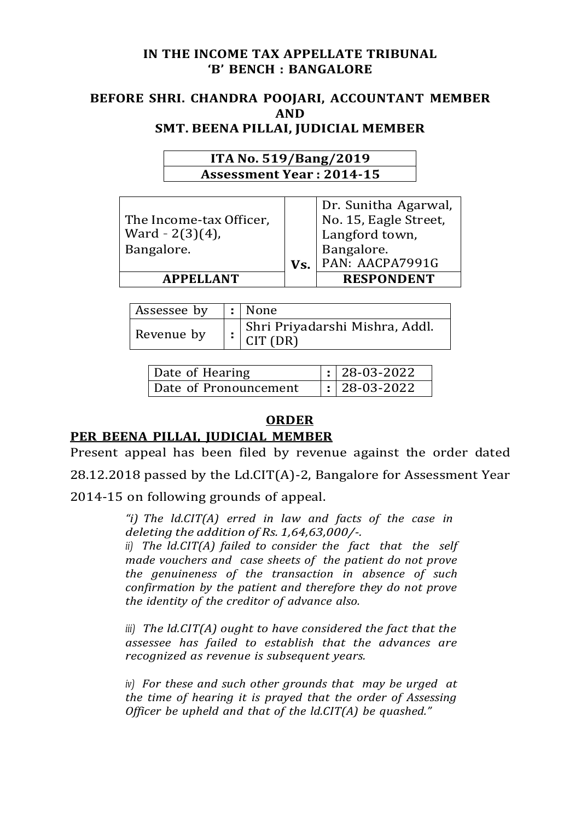### **IN THE INCOME TAX APPELLATE TRIBUNAL 'B' BENCH : BANGALORE**

### **BEFORE SHRI. CHANDRA POOJARI, ACCOUNTANT MEMBER AND SMT. BEENA PILLAI, JUDICIAL MEMBER**

| ITA No. 519/Bang/2019           |  |
|---------------------------------|--|
| <b>Assessment Year: 2014-15</b> |  |

| The Income-tax Officer,<br>Ward $- 2(3)(4)$ , |     | Dr. Sunitha Agarwal,<br>No. 15, Eagle Street,<br>Langford town, |
|-----------------------------------------------|-----|-----------------------------------------------------------------|
| Bangalore.                                    | Vs. | Bangalore.<br>PAN: AACPA7991G                                   |
| <b>APPELLANT</b>                              |     | <b>RESPONDENT</b>                                               |

| Assessee by | $\vert$ : None                                     |
|-------------|----------------------------------------------------|
| Revenue by  | Shri Priyadarshi Mishra, Addl.<br>$\vert$ CIT (DR) |

| Date of Hearing       | $\vert$ : 28-03-2022 |
|-----------------------|----------------------|
| Date of Pronouncement | $\vert$ : 28-03-2022 |

## **ORDER**

# **PER BEENA PILLAI, JUDICIAL MEMBER**

Present appeal has been filed by revenue against the order dated

28.12.2018 passed by the Ld.CIT(A)-2, Bangalore for Assessment Year

2014-15 on following grounds of appeal.

*"i) The ld.CIT(A) erred in law and facts of the case in deleting the addition of Rs. 1,64,63,000/-.*

*ii) The ld.CIT(A) failed to consider the fact that the self made vouchers and case sheets of the patient do not prove the genuineness of the transaction in absence of such confirmation by the patient and therefore they do not prove the identity of the creditor of advance also.*

*iii) The ld.CIT(A) ought to have considered the fact that the assessee has failed to establish that the advances are recognized as revenue is subsequent years.*

*iv) For these and such other grounds that may be urged at the time of hearing it is prayed that the order of Assessing Officer be upheld and that of the ld.CIT(A) be quashed."*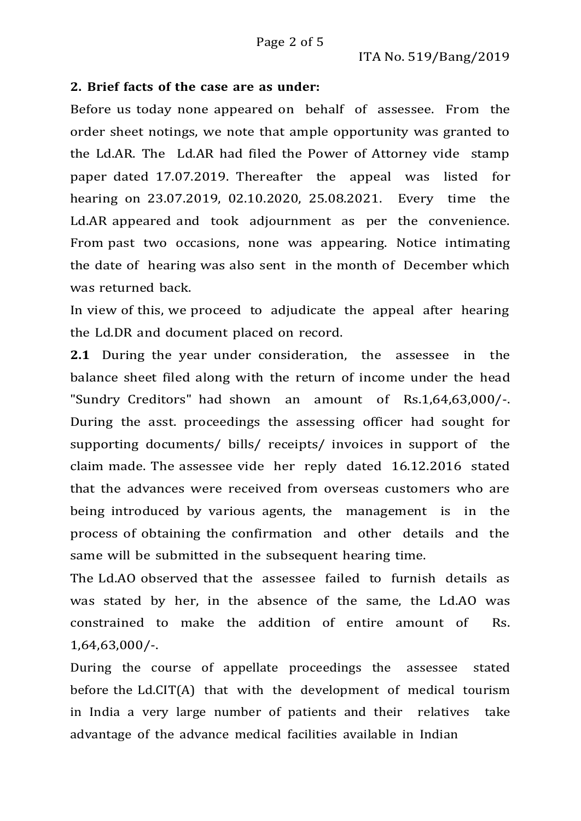### **2. Brief facts of the case are as under:**

Before us today none appeared on behalf of assessee. From the order sheet notings, we note that ample opportunity was granted to the Ld.AR. The Ld.AR had filed the Power of Attorney vide stamp paper dated 17.07.2019. Thereafter the appeal was listed for hearing on 23.07.2019, 02.10.2020, 25.08.2021. Every time the Ld.AR appeared and took adjournment as per the convenience. From past two occasions, none was appearing. Notice intimating the date of hearing was also sent in the month of December which was returned back.

In view of this, we proceed to adjudicate the appeal after hearing the Ld.DR and document placed on record.

**2.1** During the year under consideration, the assessee in the balance sheet filed along with the return of income under the head "Sundry Creditors" had shown an amount of Rs.1,64,63,000/-. During the asst. proceedings the assessing officer had sought for supporting documents/ bills/ receipts/ invoices in support of the claim made. The assessee vide her reply dated 16.12.2016 stated that the advances were received from overseas customers who are being introduced by various agents, the management is in the process of obtaining the confirmation and other details and the same will be submitted in the subsequent hearing time.

The Ld.AO observed that the assessee failed to furnish details as was stated by her, in the absence of the same, the Ld.AO was constrained to make the addition of entire amount of Rs. 1,64,63,000/-.

During the course of appellate proceedings the assessee stated before the Ld.CIT(A) that with the development of medical tourism in India a very large number of patients and their relatives take advantage of the advance medical facilities available in Indian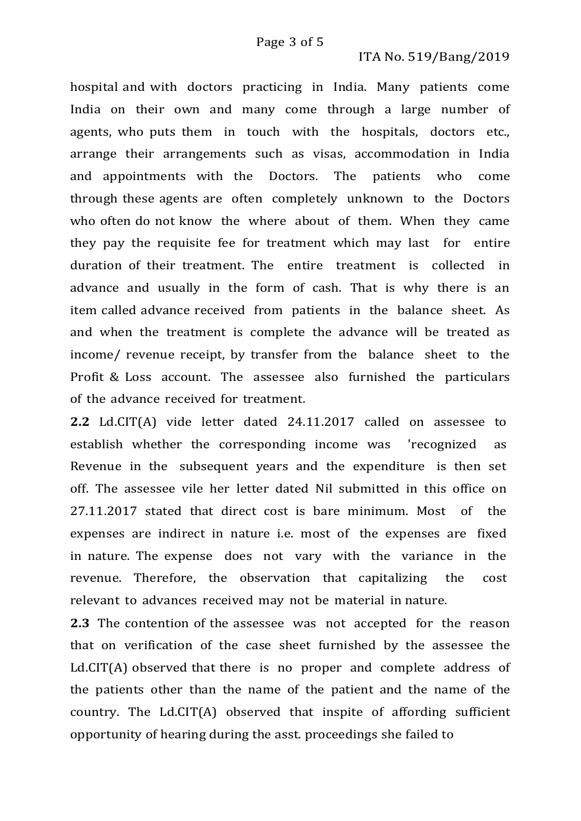#### ITA No. 519/Bang/2019

hospital and with doctors practicing in India. Many patients come India on their own and many come through a large number of agents, who puts them in touch with the hospitals, doctors etc., arrange their arrangements such as visas, accommodation in India and appointments with the Doctors. The patients who come through these agents are often completely unknown to the Doctors who often do not know the where about of them. When they came they pay the requisite fee for treatment which may last for entire duration of their treatment. The entire treatment is collected in advance and usually in the form of cash. That is why there is an item called advance received from patients in the balance sheet. As and when the treatment is complete the advance will be treated as income/ revenue receipt, by transfer from the balance sheet to the Profit & Loss account. The assessee also furnished the particulars of the advance received for treatment.

**2.2** Ld.CIT(A) vide letter dated 24.11.2017 called on assessee to establish whether the corresponding income was 'recognized as Revenue in the subsequent years and the expenditure is then set off. The assessee vile her letter dated Nil submitted in this office on 27.11.2017 stated that direct cost is bare minimum. Most of the expenses are indirect in nature i.e. most of the expenses are fixed in nature. The expense does not vary with the variance in the revenue. Therefore, the observation that capitalizing the cost relevant to advances received may not be material in nature.

**2.3** The contention of the assessee was not accepted for the reason that on verification of the case sheet furnished by the assessee the Ld.CIT(A) observed that there is no proper and complete address of the patients other than the name of the patient and the name of the country. The Ld.CIT(A) observed that inspite of affording sufficient opportunity of hearing during the asst. proceedings she failed to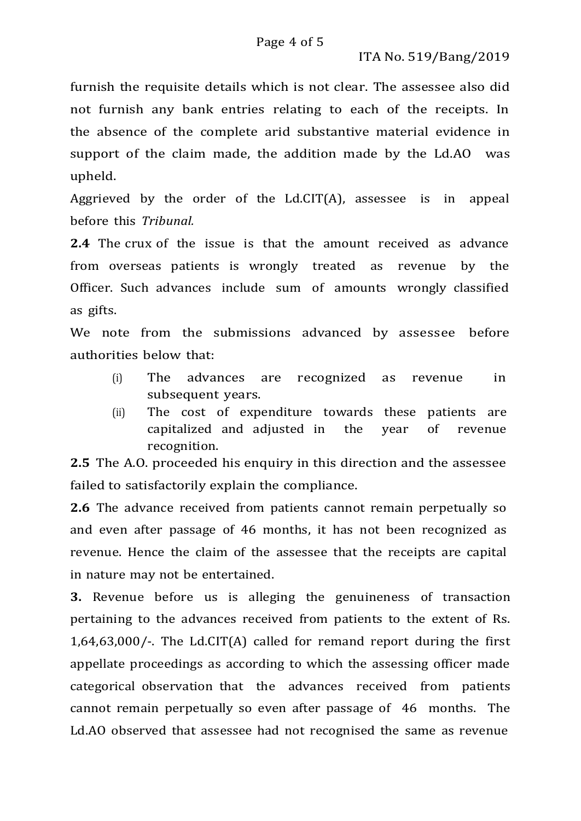furnish the requisite details which is not clear. The assessee also did not furnish any bank entries relating to each of the receipts. In the absence of the complete arid substantive material evidence in support of the claim made, the addition made by the Ld.AO was upheld.

Aggrieved by the order of the Ld.CIT(A), assessee is in appeal before this *Tribunal.*

**2.4** The crux of the issue is that the amount received as advance from overseas patients is wrongly treated as revenue by the Officer. Such advances include sum of amounts wrongly classified as gifts.

We note from the submissions advanced by assessee before authorities below that:

- (i) The advances are recognized as revenue in subsequent years.
- (ii) The cost of expenditure towards these patients are capitalized and adjusted in the year of revenue recognition.

**2.5** The A.O. proceeded his enquiry in this direction and the assessee failed to satisfactorily explain the compliance.

**2.6** The advance received from patients cannot remain perpetually so and even after passage of 46 months, it has not been recognized as revenue. Hence the claim of the assessee that the receipts are capital in nature may not be entertained.

**3.** Revenue before us is alleging the genuineness of transaction pertaining to the advances received from patients to the extent of Rs. 1,64,63,000/-. The Ld.CIT(A) called for remand report during the first appellate proceedings as according to which the assessing officer made categorical observation that the advances received from patients cannot remain perpetually so even after passage of 46 months. The Ld.AO observed that assessee had not recognised the same as revenue